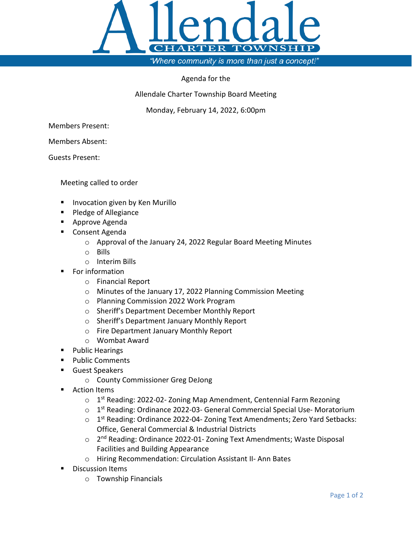

## Agenda for the

Allendale Charter Township Board Meeting

Monday, February 14, 2022, 6:00pm

Members Present:

Members Absent:

Guests Present:

Meeting called to order

- **IIII** Invocation given by Ken Murillo
- Pledge of Allegiance
- Approve Agenda
- Consent Agenda
	- o Approval of the January 24, 2022 Regular Board Meeting Minutes
	- o Bills
	- o Interim Bills
- For information
	- o Financial Report
	- o Minutes of the January 17, 2022 Planning Commission Meeting
	- o Planning Commission 2022 Work Program
	- o Sheriff's Department December Monthly Report
	- o Sheriff's Department January Monthly Report
	- o Fire Department January Monthly Report
	- o Wombat Award
- **Public Hearings**
- **Public Comments**
- Guest Speakers
	- o County Commissioner Greg DeJong
- **Action Items** 
	- $\circ$  1<sup>st</sup> Reading: 2022-02- Zoning Map Amendment, Centennial Farm Rezoning
	- $\circ$  1<sup>st</sup> Reading: Ordinance 2022-03- General Commercial Special Use- Moratorium
	- $\circ$  1<sup>st</sup> Reading: Ordinance 2022-04- Zoning Text Amendments; Zero Yard Setbacks: Office, General Commercial & Industrial Districts
	- o 2nd Reading: Ordinance 2022-01- Zoning Text Amendments; Waste Disposal Facilities and Building Appearance
	- o Hiring Recommendation: Circulation Assistant II- Ann Bates
- Discussion Items
	- o Township Financials